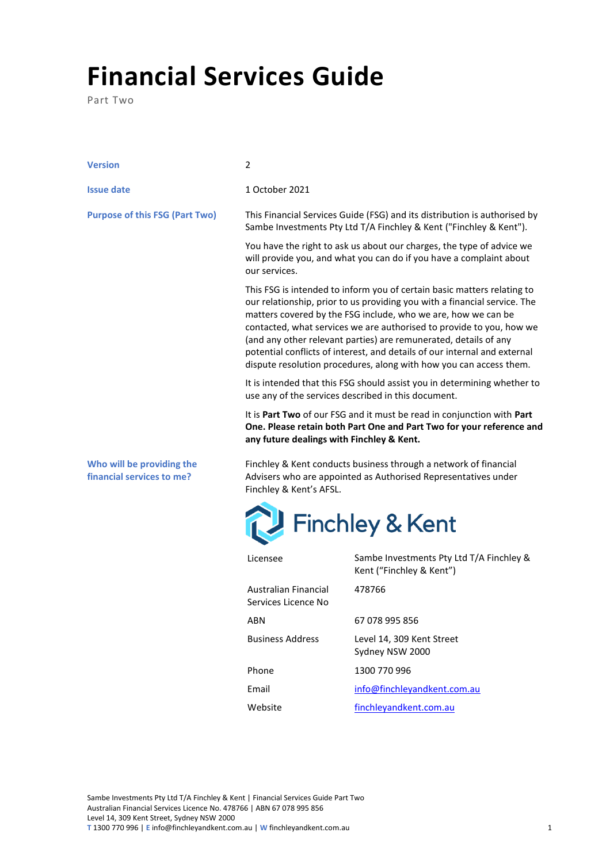## **Financial Services Guide**

Part Two

| <b>Version</b>                                         | 2                                                                                                                                                                                                                                                                                                                                                                                                                                                                                                                    |                                                                      |  |
|--------------------------------------------------------|----------------------------------------------------------------------------------------------------------------------------------------------------------------------------------------------------------------------------------------------------------------------------------------------------------------------------------------------------------------------------------------------------------------------------------------------------------------------------------------------------------------------|----------------------------------------------------------------------|--|
| <b>Issue date</b>                                      | 1 October 2021                                                                                                                                                                                                                                                                                                                                                                                                                                                                                                       |                                                                      |  |
| <b>Purpose of this FSG (Part Two)</b>                  | This Financial Services Guide (FSG) and its distribution is authorised by<br>Sambe Investments Pty Ltd T/A Finchley & Kent ("Finchley & Kent").                                                                                                                                                                                                                                                                                                                                                                      |                                                                      |  |
|                                                        | You have the right to ask us about our charges, the type of advice we<br>will provide you, and what you can do if you have a complaint about<br>our services.                                                                                                                                                                                                                                                                                                                                                        |                                                                      |  |
|                                                        | This FSG is intended to inform you of certain basic matters relating to<br>our relationship, prior to us providing you with a financial service. The<br>matters covered by the FSG include, who we are, how we can be<br>contacted, what services we are authorised to provide to you, how we<br>(and any other relevant parties) are remunerated, details of any<br>potential conflicts of interest, and details of our internal and external<br>dispute resolution procedures, along with how you can access them. |                                                                      |  |
|                                                        | It is intended that this FSG should assist you in determining whether to<br>use any of the services described in this document.                                                                                                                                                                                                                                                                                                                                                                                      |                                                                      |  |
|                                                        | It is Part Two of our FSG and it must be read in conjunction with Part<br>One. Please retain both Part One and Part Two for your reference and<br>any future dealings with Finchley & Kent.                                                                                                                                                                                                                                                                                                                          |                                                                      |  |
| Who will be providing the<br>financial services to me? | Finchley & Kent conducts business through a network of financial<br>Advisers who are appointed as Authorised Representatives under<br>Finchley & Kent's AFSL.                                                                                                                                                                                                                                                                                                                                                        |                                                                      |  |
|                                                        | Finchley & Kent                                                                                                                                                                                                                                                                                                                                                                                                                                                                                                      |                                                                      |  |
|                                                        | Licensee                                                                                                                                                                                                                                                                                                                                                                                                                                                                                                             | Sambe Investments Pty Ltd T/A Finchley &<br>Kent ("Finchley & Kent") |  |
|                                                        | <b>Australian Financial</b><br>Services Licence No                                                                                                                                                                                                                                                                                                                                                                                                                                                                   | 478766                                                               |  |
|                                                        | <b>ARN</b>                                                                                                                                                                                                                                                                                                                                                                                                                                                                                                           | 67 078 995 856                                                       |  |

Business Address Level 14, 309 Kent Street

Website [finchleyandkent.com.au](https://www.finchleyandkent.com.au/)

Email [info@finchleyandkent.com.au](mailto:info@finchleyandkent.com.au)

Phone 1300 770 996

Sydney NSW 2000

Sambe Investments Pty Ltd T/A Finchley & Kent | Financial Services Guide Part Two Australian Financial Services Licence No. 478766 | ABN 67 078 995 856 Level 14, 309 Kent Street, Sydney NSW 2000 **T** 1300 770 996 | **E** info@finchleyandkent.com.au | **W** finchleyandkent.com.au 1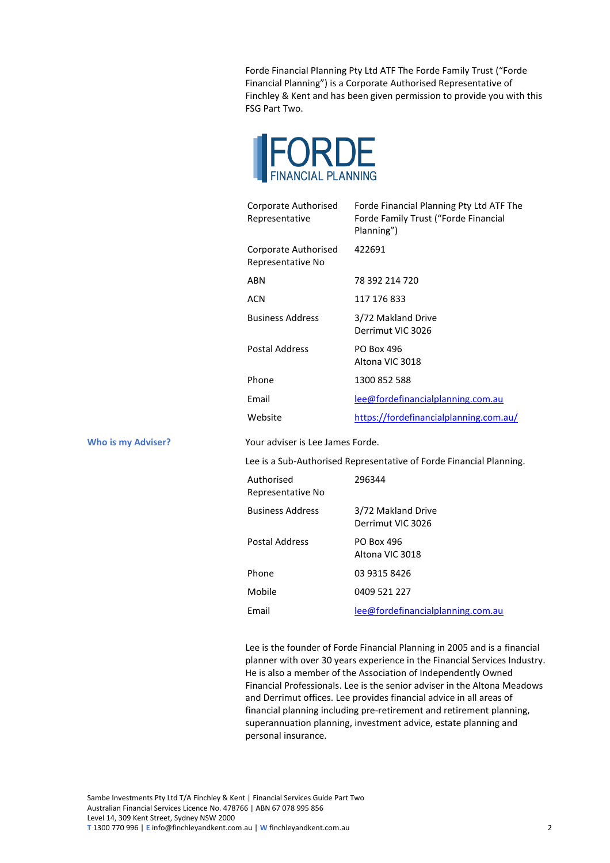Forde Financial Planning Pty Ltd ATF The Forde Family Trust ("Forde Financial Planning") is a Corporate Authorised Representative of Finchley & Kent and has been given permission to provide you with this FSG Part Two.



| Corporate Authorised<br>Representative    | Forde Financial Planning Pty Ltd ATF The<br>Forde Family Trust ("Forde Financial<br>Planning") |
|-------------------------------------------|------------------------------------------------------------------------------------------------|
| Corporate Authorised<br>Representative No | 422691                                                                                         |
| <b>ARN</b>                                | 78 392 214 720                                                                                 |
| ACN                                       | 117 176 833                                                                                    |
| <b>Business Address</b>                   | 3/72 Makland Drive<br>Derrimut VIC 3026                                                        |
| <b>Postal Address</b>                     | PO Box 496<br>Altona VIC 3018                                                                  |
| Phone                                     | 1300 852 588                                                                                   |
| Email                                     | lee@fordefinancialplanning.com.au                                                              |
| Website                                   | https://fordefinancialplanning.com.au/                                                         |

**Who is my Adviser?** Your adviser is Lee James Forde.

Lee is a Sub-Authorised Representative of Forde Financial Planning.

| Authorised<br>Representative No | 296344                                  |
|---------------------------------|-----------------------------------------|
| <b>Business Address</b>         | 3/72 Makland Drive<br>Derrimut VIC 3026 |
| <b>Postal Address</b>           | PO Box 496<br>Altona VIC 3018           |
| Phone                           | 03 9315 8426                            |
| Mobile                          | 0409 521 227                            |
| Fmail                           | lee@fordefinancialplanning.com.au       |

Lee is the founder of Forde Financial Planning in 2005 and is a financial planner with over 30 years experience in the Financial Services Industry. He is also a member of the Association of Independently Owned Financial Professionals. Lee is the senior adviser in the Altona Meadows and Derrimut offices. Lee provides financial advice in all areas of financial planning including pre-retirement and retirement planning, superannuation planning, investment advice, estate planning and personal insurance.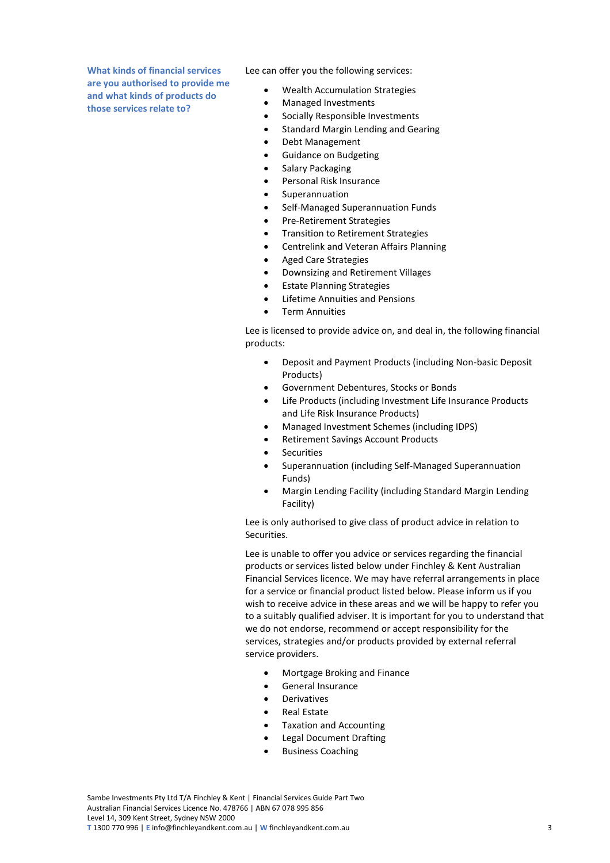**What kinds of financial services are you authorised to provide me and what kinds of products do those services relate to?**

Lee can offer you the following services:

- Wealth Accumulation Strategies
- Managed Investments
- Socially Responsible Investments
- Standard Margin Lending and Gearing
- Debt Management
- Guidance on Budgeting
- Salary Packaging
- Personal Risk Insurance
- **Superannuation**
- Self-Managed Superannuation Funds
- Pre-Retirement Strategies
- Transition to Retirement Strategies
- Centrelink and Veteran Affairs Planning
- Aged Care Strategies
- Downsizing and Retirement Villages
- Estate Planning Strategies
- Lifetime Annuities and Pensions
- Term Annuities

Lee is licensed to provide advice on, and deal in, the following financial products:

- Deposit and Payment Products (including Non-basic Deposit Products)
- Government Debentures, Stocks or Bonds
- Life Products (including Investment Life Insurance Products and Life Risk Insurance Products)
- Managed Investment Schemes (including IDPS)
- Retirement Savings Account Products
- **Securities**
- Superannuation (including Self-Managed Superannuation Funds)
- Margin Lending Facility (including Standard Margin Lending Facility)

Lee is only authorised to give class of product advice in relation to Securities.

Lee is unable to offer you advice or services regarding the financial products or services listed below under Finchley & Kent Australian Financial Services licence. We may have referral arrangements in place for a service or financial product listed below. Please inform us if you wish to receive advice in these areas and we will be happy to refer you to a suitably qualified adviser. It is important for you to understand that we do not endorse, recommend or accept responsibility for the services, strategies and/or products provided by external referral service providers.

- Mortgage Broking and Finance
- General Insurance
- **Derivatives**
- Real Estate
- Taxation and Accounting
- Legal Document Drafting
- Business Coaching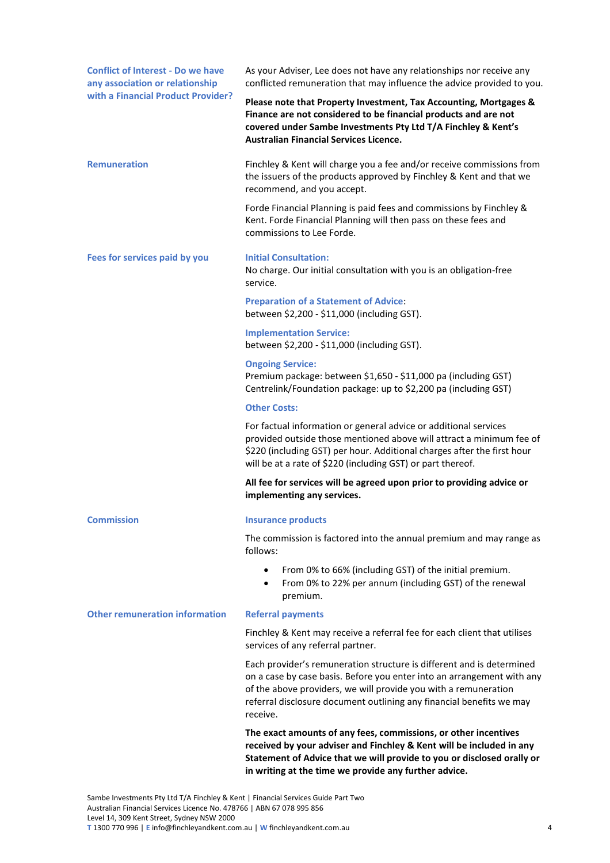| <b>Conflict of Interest - Do we have</b><br>any association or relationship | As your Adviser, Lee does not have any relationships nor receive any<br>conflicted remuneration that may influence the advice provided to you.                                                                                                                                                         |  |
|-----------------------------------------------------------------------------|--------------------------------------------------------------------------------------------------------------------------------------------------------------------------------------------------------------------------------------------------------------------------------------------------------|--|
| with a Financial Product Provider?                                          | Please note that Property Investment, Tax Accounting, Mortgages &<br>Finance are not considered to be financial products and are not<br>covered under Sambe Investments Pty Ltd T/A Finchley & Kent's<br><b>Australian Financial Services Licence.</b>                                                 |  |
| <b>Remuneration</b>                                                         | Finchley & Kent will charge you a fee and/or receive commissions from<br>the issuers of the products approved by Finchley & Kent and that we<br>recommend, and you accept.                                                                                                                             |  |
|                                                                             | Forde Financial Planning is paid fees and commissions by Finchley &<br>Kent. Forde Financial Planning will then pass on these fees and<br>commissions to Lee Forde.                                                                                                                                    |  |
| Fees for services paid by you                                               | <b>Initial Consultation:</b><br>No charge. Our initial consultation with you is an obligation-free<br>service.                                                                                                                                                                                         |  |
|                                                                             | <b>Preparation of a Statement of Advice:</b><br>between \$2,200 - \$11,000 (including GST).                                                                                                                                                                                                            |  |
|                                                                             | <b>Implementation Service:</b><br>between \$2,200 - \$11,000 (including GST).                                                                                                                                                                                                                          |  |
|                                                                             | <b>Ongoing Service:</b><br>Premium package: between \$1,650 - \$11,000 pa (including GST)<br>Centrelink/Foundation package: up to \$2,200 pa (including GST)                                                                                                                                           |  |
|                                                                             | <b>Other Costs:</b>                                                                                                                                                                                                                                                                                    |  |
|                                                                             | For factual information or general advice or additional services<br>provided outside those mentioned above will attract a minimum fee of<br>\$220 (including GST) per hour. Additional charges after the first hour<br>will be at a rate of \$220 (including GST) or part thereof.                     |  |
|                                                                             | All fee for services will be agreed upon prior to providing advice or<br>implementing any services.                                                                                                                                                                                                    |  |
| <b>Commission</b>                                                           | <b>Insurance products</b>                                                                                                                                                                                                                                                                              |  |
|                                                                             | The commission is factored into the annual premium and may range as<br>follows:                                                                                                                                                                                                                        |  |
|                                                                             | From 0% to 66% (including GST) of the initial premium.<br>٠<br>From 0% to 22% per annum (including GST) of the renewal<br>٠<br>premium.                                                                                                                                                                |  |
| <b>Other remuneration information</b>                                       | <b>Referral payments</b>                                                                                                                                                                                                                                                                               |  |
|                                                                             | Finchley & Kent may receive a referral fee for each client that utilises<br>services of any referral partner.                                                                                                                                                                                          |  |
|                                                                             | Each provider's remuneration structure is different and is determined<br>on a case by case basis. Before you enter into an arrangement with any<br>of the above providers, we will provide you with a remuneration<br>referral disclosure document outlining any financial benefits we may<br>receive. |  |
|                                                                             | The exact amounts of any fees, commissions, or other incentives<br>received by your adviser and Finchley & Kent will be included in any<br>Statement of Advice that we will provide to you or disclosed orally or<br>in writing at the time we provide any further advice.                             |  |